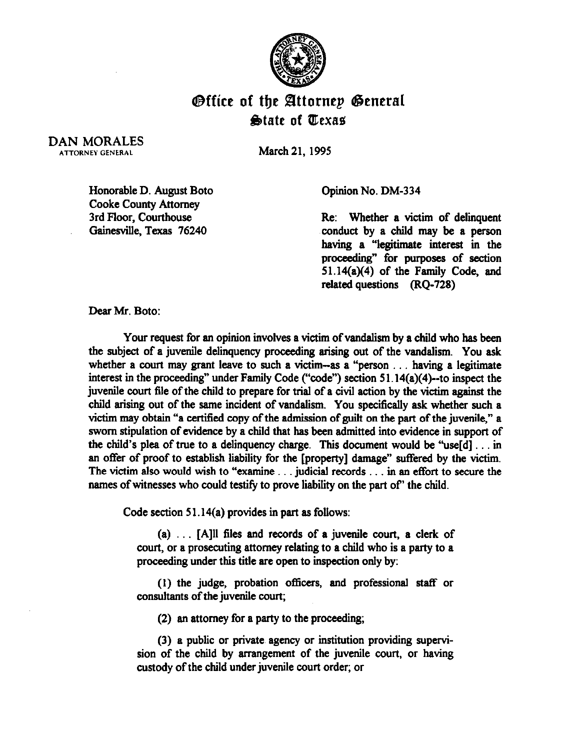

## *<u>Office</u>* **of the Attornep General State of Trexas**

DAN MORALES ATTORNEY GENERAL

March 21,199s

Honorable D. August Boto Cooke County Attorney 3rd Floor, Courthouse Gainesville, Texas 76240

Opinion No. DM-334

Re: Whether a victim of delinquent conduct by a child may be a person having a "legitimate interest in the proceeding" for purposes of section 51.14(a)(4) of the Family Code, and related questions (RQ-728)

Dear Mr. Boto:

Your request for an opinion involves a victim of vandalism by a child who has been the subject of a juvenile delinquency proceeding arising out of the vandalism. You ask whether a court may grant leave to such a victim--as a "person  $\dots$  having a legitimate interest in the proceeding" under Family Code ("code") section 5 1.14(a)(4)-to inspect the juvenile court file of the child to prepare for trial of a civil action by the victim against the child arising out of the same incident of vandalism. You specifically ask whether such a victim may obtain "a certified copy of the admission of guilt on the part of the juvenile," a sworn stipulation of evidence by a child that has been admitted into evidence in support of the child's plea of true to a delinquency charge. This document would be "use[d]  $\dots$  in an offer of proof to establish liability for the [property] damage" suffered by the victim. The victim also would wish to "examine . . . judicial records . . . in an effort to secure the names of witnesses who could testify to prove liability on the part of' the child.

Code section 51.14(a) provides in part as follows:

(a)  $\ldots$  [A]<sup>11</sup> files and records of a juvenile court, a clerk of court, or a prosecuting attorney relating to a child who is a party to a proceeding under this title are open to inspection only by:

(1) the judge, probation officers, and professional staff or consultants of the juvenile court;

(2) an attorney for a party to the proceeding;

(3) a public or private agency or institution providing supervision of the child by arrangement of the juvenile court, or having custody of the child under juvenile court order; or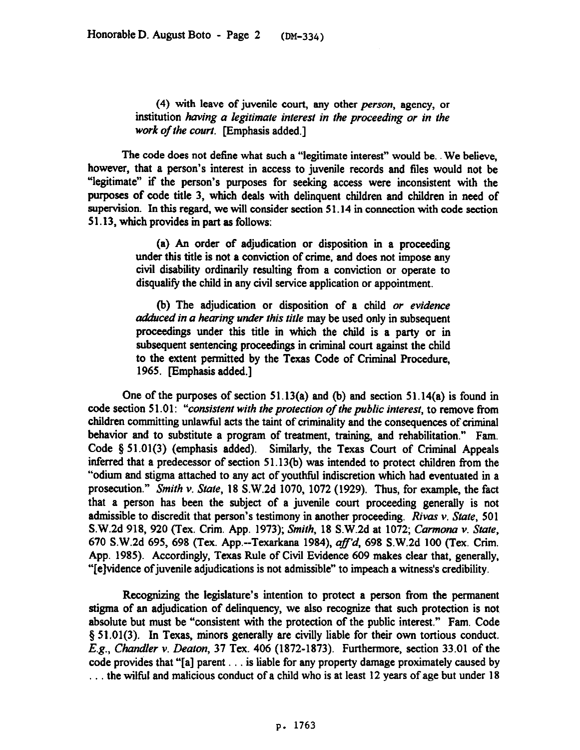**(4)** with leave of juvenile court, any other *person,* agency, or institution *having a legitimate interest in the proceeding or in the* work of the court. [Emphasis added.]

The code does not define what such a "legitimate interest" would be. We believe, however, that a person's interest in access to juvenile records and files would not be "legitimate" if the person's purposes for seeking access were inconsistent with the purposes of code title 3, which deals with delinquent children and children in need of supervision. In this regard, we will consider section 51.14 in connection with code section 5 1.13, which provides in part as follows:

> (a) An order of adjudication *or* disposition in a proceeding under this title is not a conviction of crime, and does not impose any civil disability ordinarily resulting from a conviction or operate to disqualify the child in any civil service application or appointment.

> (b) The adjudication or disposition of a child or *evidence adduced in a hearing under this title* may be used only in subsequent proceedings under this title in which the child is a party or in subsequent sentencing proceedings in criminal court against the child to the extent permitted by the Texas Code of Criminal Procedure, 1965. [Emphasis added.]

One of the purposes of section  $51.13(a)$  and (b) and section  $51.14(a)$  is found in *code* section *5* 1 .Ol *: "consistent with the proieciion of the public interest,* to remove from children committing unlawful acts the taint of criminality and the consequences of criminal behavior and to substitute a program of treatment, training, and rehabilitation." Fam. Code \$51.01(3) (emphasis added). Similarly, the Texas Court of Criminal Appeals inferred that a predecessor of section  $51.13(b)$  was intended to protect children from the "odium and stigma attached to any act of youthful indiscretion which had eventuated in a prosecution." *Smith v. State*, 18 S.W.2d 1070, 1072 (1929). Thus, for example, the fact that a person has been the subject of a juvenile court proceeding generally is not admissible to discredit that person's testimony in another proceeding. *Rivas v. Slate,* 501 S.W.2d 918, 920 (Tex. Crim. App. 1973); *Smith*, 18 S.W.2d at 1072; *Carmona v. State*, 670 S.W.2d 695, 698 (Tex. App.--Texarkana 1984). *uf'd, 698* S.W.2d 100 (Tex. Crim. App. 1985). Accordingly, Texas Rule of Civil Evidence 609 makes clear that, generally, "[elvidence ofjuvenile adjudications is not admissible" to impeach a witness's credibility.

Recognizing the legislature's intention to protect a person from the permanent stigma of an adjudication of delinquency, we also recognize that such protection is not absolute but must be "consistent with the protection of the public interest." Fam. Code § 51.01(3). In Texas, minors generally are civilly liable for their own tortious conduct. *E.g., Chandler v. Deaton, 37 Tex. 406 (1872-1873). Furthermore, section 33.01 of the* code provides that "[a] parent  $\dots$  is liable for any property damage proximately caused by ... the wilful and malicious conduct of a child who is at least 12 years of age but under 18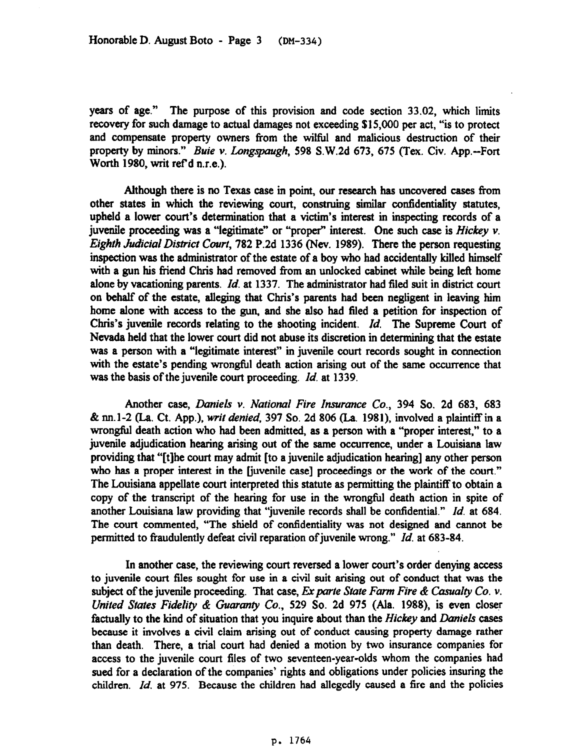years of age." The purpose of this provision and code section 33.02, which limits recovery for such damage to actual damages not exceeding \$15,000 per act, "is to protect and compensate property owners from the wiltid and malicious destruction of their property by minors." *Buie v. Longspaugh*, 598 S.W.2d 673, 675 (Tex. Civ. App.--Fort Worth 1980, writ ref d n.r.e.).

Although there is no Texas case in point, our research has uncovered cases from other states in which the reviewing court, construing similar confidentiality statutes, upheld a lower court's determination that a victim's interest in inspecting records of a juvenile proceeding was a "legitimate" or "proper" interest. One such case is *Hickey v. Eighth Judicial District Court,* 782 P.2d 1336 (Nev. 1989). There the person requesting inspection was the administrator of the estate of a boy who had accidentally killed himself with a gun his friend Chris had removed from an unlocked cabinet while being left home alone by vacationing parents. *Id.* at 1337. The administrator had filed suit in district court on behalf of the estate, alleging that Chris's parents had been negligent in leaving him home alone with access to the gun, and she also had filed a petition for inspection of Chris's juvenile records relating to the shooting incident. *Id,* The Supreme Court of Nevada held that the lower court did not abuse its discretion in determining that the estate was a person with a "legitimate interest" in juvenile court records sought in connection with the estate's pending wrongful death action arising out of the same occurrence that was the basis of the juvenile court proceeding. *Id.* at 1339.

Another *case, Daniels v. National Fire Insurance Co., 394 So.* 2d 683, 683 & nnl-2 (La. Ct. App.), *writ denied,* 397 So. 2d 806 (La. 1981), involved a plaintiff in a wrongful death action who had been admitted, as a person with a "proper interest," to a juvenile adjudication hearing arising out of the same occurrence, under a Louisiana law providing that "[tlhe wurt may admit [to a juvenile adjudication hearing] any other person who has a proper interest in the [juvenile case] proceedings or the work of the court." The Louisiana appellate court interpreted this statute as permitting the plaintiff to obtain a copy of the transcript of the hearing for use in the wrongful death action in spite of another Louisiana law providing that "juvenile records shall be confidential." *Id.* at 684. The court commented, "The shield of confidentiality was not designed and cannot be permitted to fraudulently defeat civil reparation of juvenile wrong." *Id.* at 683-84.

In another case, the reviewing court reversed a lower court's order denying access to juvenile court files sought for use in a civil suit arising out of conduct that was the subject of the juvenile proceeding. That case, Ex parte State Farm Fire & Casualty Co. v. *United States Fidelity & Guaranty Co.*, 529 So. 2d 975 (Ala. 1988), is even closer factually to the kind of situation that you inquire about than the *Hickey* and *Duniels cases*  because it involves a civil claim arising out of conduct causing property damage rather than death. There, a trial court had denied a motion by two insurance companies for access to the juvenile court files of two seventeen-year-olds whom the companies had sued for a declaration of the companies' rights and obligations under policies insuring the children. *Id.* at 975. Because the children had allegedly caused a fire and the policies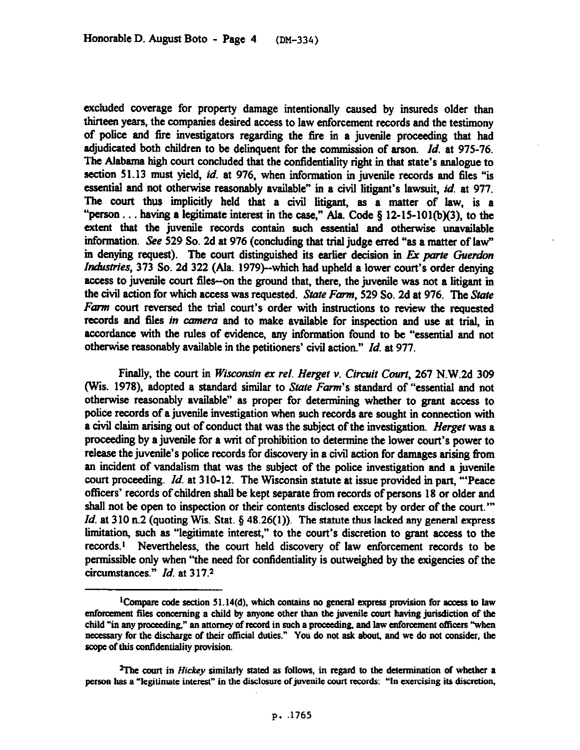excluded coverage for property damage intentionally caused by insureds older than thirteen years, the companies desired access to law enforcement records and the testimony of police and tire investigators regarding the tire in a juvenile proceeding that had adjudicated both children to be delinquent for the commission of arson. *Id.* at 975-76. The Alabama high court concluded that the confidentiality right in that state's analogue to section 51.13 must yield, *id.* at 976, when information in juvenile records and files "is essential and not otherwise reasonably available" in a civil litigant's lawsuit, *id.* at 977. The court thus implicitly held that a civil litigant, as a matter of law, is a "person... having a legitimate interest in the case," Ala. Code § 12-15-101(b)(3), to the extent that the juvenile records contain such essential and otherwise unavailable information. See 529 So. 2d at 976 (concluding that trial judge erred "as a matter of law" in denying request). The court distinguished its earlier decision in Ex parte Guerdon Industries, 373 So. 2d 322 (Ala. 1979)--which had upheld a lower court's order denying access to juvenile court files--on the ground that, there, the juvenile was not a litigant in the civil action for which access was requested. State Farm, 529 So. 2d at 976. The State *Farm court reversed the trial court's* order with instructions to review the requested records and files *in cmneru* and to make available for inspection and use at trial, in accordance with the rules of evidence, any information found to be "essential and not otherwise reasonably available in the petitioners' civil action." *Id.* at 977.

Finally, the *court* in *Wisconsin ex rel. Herget v. Circuit Court, 267* N.W.2d 309 (Wis. 1978), adopted a standard similar to State Farm's standard of "essential and not otherwise reasonably available" as proper for determining whether to grant access to police records of a *juvenile* investigation when such records are sought in connection with a civil claim arising out of conduct that was the subject of the investigation. Herget was a proceeding by a juvenile for a writ of prohibition to determine the lower court's power to release the juvenile's police records for discovery in a civil action for damages arising from an incident of vandalism that was the subject of the police investigation and a juvenile court proceeding. *Id.* at 310-12. The Wisconsin statute at issue provided in part, "'Peace officers' records of children shall be kept separate from records of persons 18 or older and shall not be open to inspection or their contents disclosed except by order of the court."" *Id.* at 310 n.2 (quoting Wis. Stat. § 48.26(1)). The statute thus lacked any general express limitation, such as "legitimate interest," to the court's discretion to grant access to the records.<sup>1</sup> Nevertheless, the court held discovery of law enforcement records to be permissible only when "the need for confidentiality is outweighed by the exigencies of the *circumstances." Id.* at 3 17.2

<sup>&</sup>lt;sup>1</sup>Compare code section 51.14(d), which contains no general express provision for access to law enforcement files concerning a child by anyone other than the juvenile court having jurisdiction of the **child "in any** pmceedina," an *attomcy* of record in **such a proceeding, and law cnfomnent officers "when**  necessary for the discharge of their official duties." You do not ask about, and we do not consider, the **scope of this confdentiality provision.** 

*ZThe COUR in ffickry* **similarly stated as follows, in regard to the determination of whether a**  person has a "legitimate interest" in the disclosure of juvenile court records: "In exercising its discretion,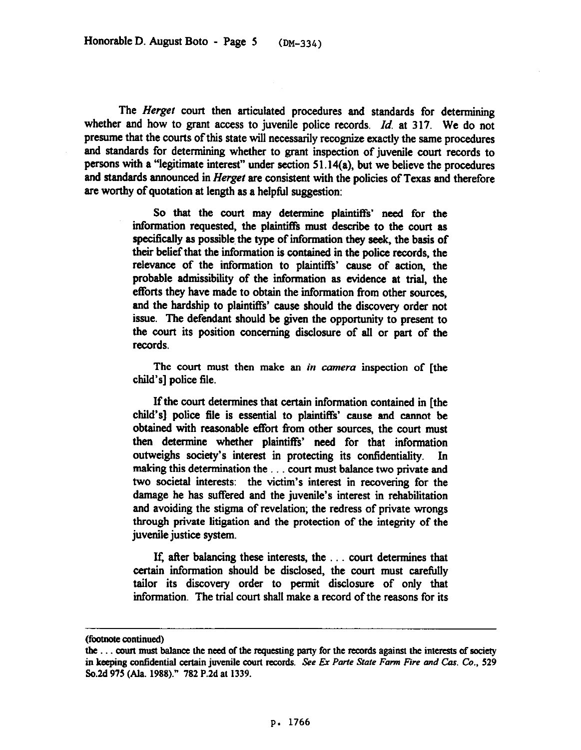The *Hergei* court then articulated procedures and standards for determining whether and how to grant access to juvenile police records. *Id,* at 317. We do not presume that the courts of this state will necessarily recognize exactly the same procedures and standards for determining whether to grant inspection of **juvenile** court records to persons with a "legitimate interest" under section 51.14(a), but we believe the procedures and standards announced in *Herget* are consistent with the policies of Texas and therefore are worthy of quotation at length as a helpfil suggestion:

> So that the court may determine plaintiffs' need for the information requested, the plaintiffs must describe to the court as specifically as possible the type of information they seek, the basis of their belief that the information is contained in the police records, the relevance of the information to plaintiffs' cause of action, the probable admissibility of the information as evidence at trial, the efforts they have made to obtain the information from other sources, and the hardship to plaintiffs' cause should the discovery order not issue. The defendant should be given the opportunity to present to the court its position wncerning disclosure of all or part of the records.

> The court must then make an *in camera* inspection of [the child's] police file.

> If the court determines that certain information contained in [the child's] police file is essential to plaintiffs' cause and cannot be obtained with reasonable effort from other sources, the court must then determine whether plaintiffs' need for that information outweighs society's interest in protecting its confidentiality. In making this determination the your must balance two private and two societal interests: the victim's interest in recovering for the damage he has suffered and the juvenile's interest in rehabilitation and avoiding the stigma of revelation; the redress of private wrongs through private litigation and the protection of the integrity of the juvenile justice system.

> If, after balancing these interests, the  $\dots$  court determines that certain information should be disclosed, the court must carefully **tailor its discovery** order to permit disclosure of only that **information. The trial court shall make a record of the reasons for its**

**<sup>(</sup>footnote continued)** 

**the . court must balanoz the need of the requesting patty for the rozords against the interests of society**  in keeping confidential certain juvenile court records. See Ex Parte State Farm Fire and Cas. Co., 529 **So.Zd 975 (Ala. 1988)." 782 P.2d at 1339.**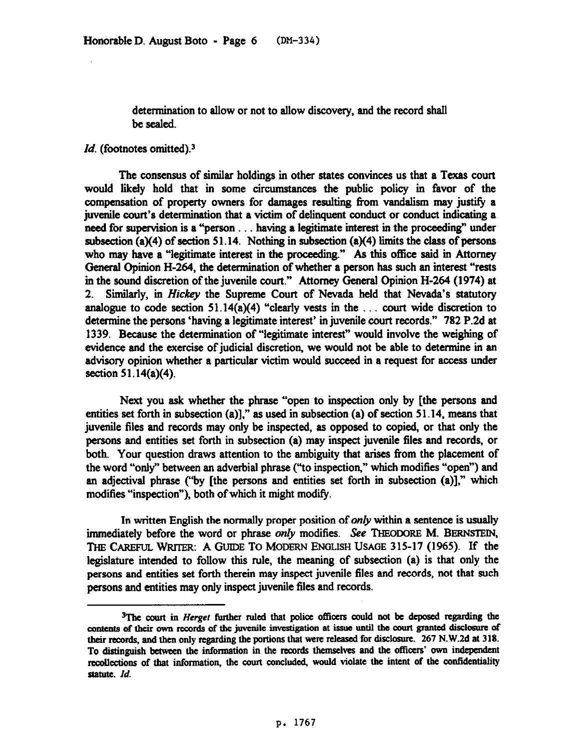determination to allow or not to allow discovery, and the record shall be sealed.

## Id. (footnotes omitted).<sup>3</sup>

The consensus of similar holdings in other states convinces us that a Texas court would likely hold that in some circumstances the public policy in favor of the compensation of property owners for damages resulting from vandalism may justify a juvenile court's determination that a victim of delinquent conduct or conduct indicating a need for supervision is a "person . . . having a legitimate interest in the proceeding" under subsection (a)(4) of section 51.14. Nothing in subsection (a)(4) limits the class of persons who may have a "legitimate interest in the proceeding." As this office said in Attorney General Opinion H-264, the determination of whether a person has such an interest "rests in the sound discretion of the juvenile court." Attorney General Opinion H-264 (1974) at 2. Similarly, in *Hickey* the Supreme Court of Nevada held that Nevada's statutory analogue to code section 51.14(a)(4) "clearly vests in the  $\ldots$  court wide discretion to determine the persons 'having a legitimate interest' in juvenile court records." 782 P.2d at 1339. Because the determination of "legitimate interest" would involve the weighing of evidence and the exercise of judicial discretion, we would not be able to determine in an advisory opinion whether a particular victim would succeed in a request for access under section 51.14(a)(4).

Next you ask whether the phrase "open to inspection only by [the persons and entities set forth in subsection (a)]," as used in subsection (a) of section  $51.14$ , means that juvenile files and records may only be inspected, as opposed to copied, or that only the persons and entities set forth in subsection (a) may inspect juvenile files and records, or both. Your question draws attention to the ambiguity that arises from the placement of the word "only" between an adverbial phrase ("to inspection," which modifies "open") and an adjectival phrase ("by [the persons and entities set forth in subsection (a)]," which modifies "inspection"), both of which it might modify.

In written English the normally proper position of *only* within a sentence is usually immediately before the word or phrase only modifies. See THEODORE M. BERNSTEIN, THE CAREFUL WRITER: A GUIDE TO MODERN ENGLISH USAGE 315-17 (1965). If the legislature intended to follow this rule, the meaning of subsection (a) is that only the persons and entities set forth therein may inspect juvenile files and records, not that such persons and entities may only inspect juvenile files and records.

<sup>&</sup>lt;sup>3</sup>The court in *Herget* further ruled that police officers could not be deposed regarding the contents of their own records of the juvenile investigation at issue until the court granted disclosure of their records, and then only regarding the portions that were released for disclosure. 267 N.W.2d at 318. To distinguish between the information in the records themselves and the officers' own independent recollections of that information, the court concluded, would violate the intent of the confidentiality statute. Id.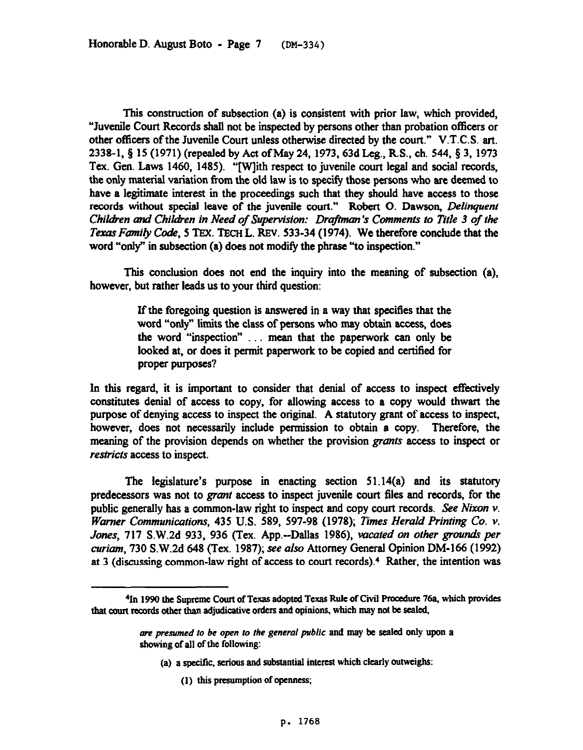This construction of subsection (a) is consistent with prior law, which provided, "Juvenile Court Records shall not be inspected by **persons** other than probation officers or other officers of the Juvenile Court unless otherwise directed by the court." V.T.C.S. art. 2338-1, § 15 (1971) (repealed by Act of May 24, 1973, 63d Leg., R.S., ch. 544, § 3, 1973 Tex. Gen. Laws 1460, 1485). "[Wlith respect to juvenile court legal and social records, the only material variation from the old law is to specify those persons who are deemed to have a legitimate interest in the proceedings such that they should have access to those records without special *leave* of the juvenile *court."* Robert 0. Dawson, *DeIinquenf Children and Chitien in Need of Supervision: Drajkm 's Comments to Title 3 of the Texas Family Code,* 5 TEX. TECH L. REV. 533-34 (1974). We therefore conclude that the word "only" in subsection (a) does not modify the phrase "'to inspection."

This conclusion does not end the inquiry into the meaning of subsection (a), however, but rather leads us to your third question:

> If the foregoing question is answered in a way that specifies that the word "only" limits the class of persons who may obtain access, does the word "inspection" . . mean that the paperwork can only be looked at. or does it permit paperwork to be copied and certified for proper purposes?

In this regard, it is important to consider that denial of access to inspect effectively constitutes denial of access to copy, for allowing access to a copy would thwart the purpose of denying access to inspect the original. A statutory grant of access to inspect, however, does not necessarily include permission to obtain a copy. Therefore, the meaning of the provision depends on whether the provision grants access to inspect or restricts access to inspect.

The legislature's purpose in enacting section 51.14(a) and its statutory predecessors was not to grant access to inspect juvenile court files and records, for the public generally has a common-law right to inspect and copy court records. See *Nixon v*. *Warner Communications, 435* U.S. 589, 597-98 (1978); *Times Herald Printing Co. v. Jones,* 717 S.W.2d 933, 936 (Tex. App.-Dallas 1986), *vacated on other grounds per curium,* 730 S.W.Zd 648 (Tex. 1987); see also Attorney General Opinion DM-166 (1992) at 3 (discussing common-law right of access to court records).4 Rather, the intention was

- **(a) a specitic, sxious and substantial interesl which clearly outweighs:** 
	- **(1) this presumption of opmless;**

<sup>&</sup>lt;sup>4</sup>In 1990 the Supreme Court of Texas adopted Texas Rule of Civil Procedure 76a, which provides that court records other than adjudicative orders and opinions, which may not be seated,

*ore presumed to be open to the general public and may be scaled only upon* a ahowing of all **of the following:**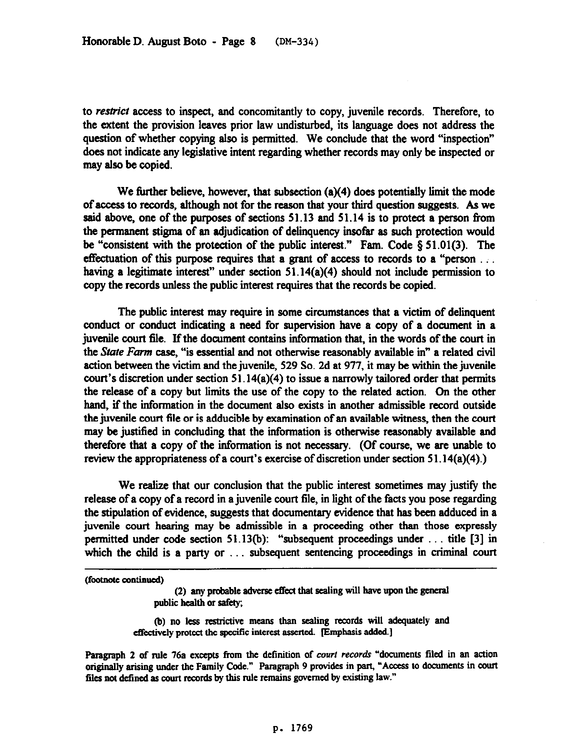to restrict access to inspect, and concomitantly to copy, juvenile records. Therefore, to the extent the provision leaves prior law undisturbed, its language does not address the question of whether copying also is permitted. We conclude that the word "inspection" does not indicate any legislative intent regarding whether records may only be inspected or may also be copied.

We further believe, however, that subsection  $(a)(4)$  does potentially limit the mode of access to records, although not for the reason that your third question suggests. As we said above, one of the purposes of sections  $51.13$  and  $51.14$  is to protect a person from the permanent stigma of an adjudication of delinquency insofar as such protection would be "consistent with the protection of the public interest." Fam. Code  $\S 51.01(3)$ . The effectuation of this purpose requires that a grant of access to records to a "person  $\dots$ having a legitimate interest" under section 51.14(a)(4) should not include permission to copy the records unless the public interest requires that the records be copied.

The public interest may require in some circumstances that a victim of delinquent conduct or conduct indicating a need for supervision have a copy of a document in a juvenile court file. If the document contains information that, in the words of the court in the *State Farm* case, "is essential and not otherwise reasonably available in" a related civil action between the victim and the juvenile, 529 So. 2d at 977, it may be within the juvenile court's discretion under section 51,14(a)(4) to issue a narrowly tailored order that permits the release of a copy but limits the use of the copy to the related action. On the other hand, if the information in the document also exists in another admissible record outside the juvenile court file or is adducible by examination of an available witness, then the court may be justified in concluding that the information is otherwise reasonably available and therefore that a copy of the information is not necessary. (Of course, we are unable to review the appropriateness of a court's exercise of discretion under section 51.14(a)(4).)

We realize that our conclusion that the public interest sometimes may justify the release of a copy of a record in a juvenile court file, in light of the facts you pose regarding the stipulation of evidence, suggests that documentary evidence that has been adduced in a juvenile court hearing may be admissible in a proceeding other than those expressly permitted under code section 51.13(b): "subsequent proceedings under  $\dots$  title [3] in which the child is a party or  $\dots$  subsequent sentencing proceedings in criminal court

(footnote continued)

(2) any probable adverse effect that sealing will have upon the general public health or safety;

(b) no less restrictive means than sealing records will adequately and effectively protect the specific interest asserted. [Emphasis added.]

Paragraph 2 of rule 76a excepts from the definition of court records "documents filed in an action originally arising under the Family Code." Paragraph 9 provides in part, "Access to documents in court files not defined as court records by this rule remains governed by existing law."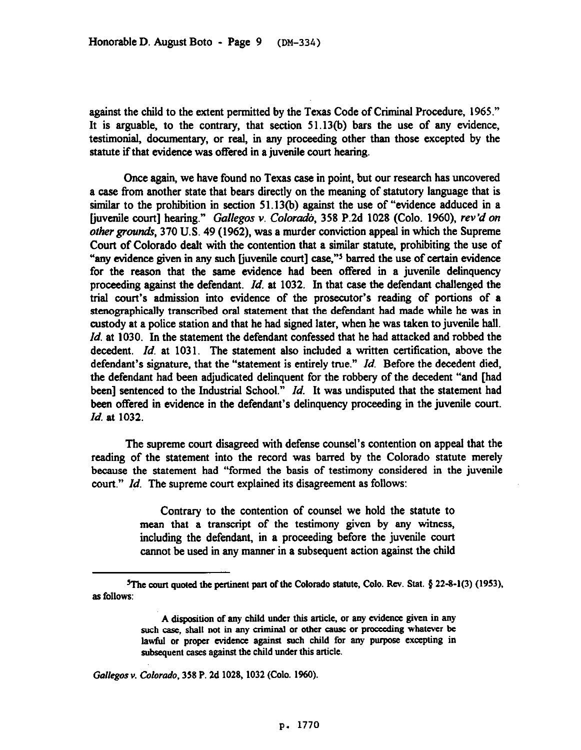against the child to the extent permitted by the Texas Code of Criminal Procedure, 1965." It is arguable, to the contrary, that section 51.13(b) bars the use of any evidence, testimonial, documentary, or real, in any proceeding other than those excepted by the statute if that evidence was offered in a juvenile court hearing.

Once again, we have found no Texas case in point, but our research has uncovered a case from another state that bears directly on the meaning of statutory language that is similar to the prohibition in section 51.13(b) against the use of "evidence adduced in a [juvenile court] hearing." *Gallegos v. Coloru&, 358* P.2d 1028 (Colo. 1960), *rev'd on other grounds*, 370 U.S. 49 (1962), was a murder conviction appeal in which the Supreme Court of Colorado dealt with the contention that a similar statute, prohibiting the use of "any evidence given in any such fiuvenile court] case,"5 barred the use of certain evidence for the reason that the same evidence had been offered in a juvenile delinquency proceeding against the defendant. *Id.* at 1032. In that case the defendant challenged the trial court's admission into evidence of the prosecutor's reading of portions of a stenographically transcribed oral statement that the defendant had made while he was in custody at a police station and that he had signed later, when be was taken to juvenile hall. *Id.* at 1030. In the statement the defendant confessed that he had attacked and robbed the decedent. *Id.* at 1031. The statement also included a written certification, above the defendant's signature, that the "statement is entirely true." *Id.* Before the decedent died, the defendant had been adjudicated delinquent for the robbery of the decedent "and [had been] sentenced to the Industrial School." *Id.* It was undisputed that the statement had been offered in evidence in the defendant's delinquency proceeding in the juvenile court. *Id.* at 1032.

The supreme court disagreed with defense counsel's contention on appeal that the reading of the statement into the record was barred by the Colorado statute merely because the statement had "formed the basis of testimony considered in the juvenile court." *Id.* The supreme court explained its disagreement as follows:

> Contrary to the contention of counsel we hold the statute to mean that a transcript of the testimony given by any witness, including the defendant, in a proceeding before the juvenile court cannot be used in any manner in a subsequent action against the child

*Gallegos v. Colorado, 358* **P. 2d 1028.1032 (Cola. 1960).** 

<sup>&</sup>lt;sup>5</sup>The court quoted the pertinent part of the Colorado statute, Colo. Rev. Stat. § 22-8-1(3) (1953), **as follows:** 

**A disposition of any child under this article, or any evidence given in any**  such case, shall not in any criminal or other cause or proceeding whatever be lawful or proper evidence against such child for any purpose excepting in **subsequent cases against the child under this article.**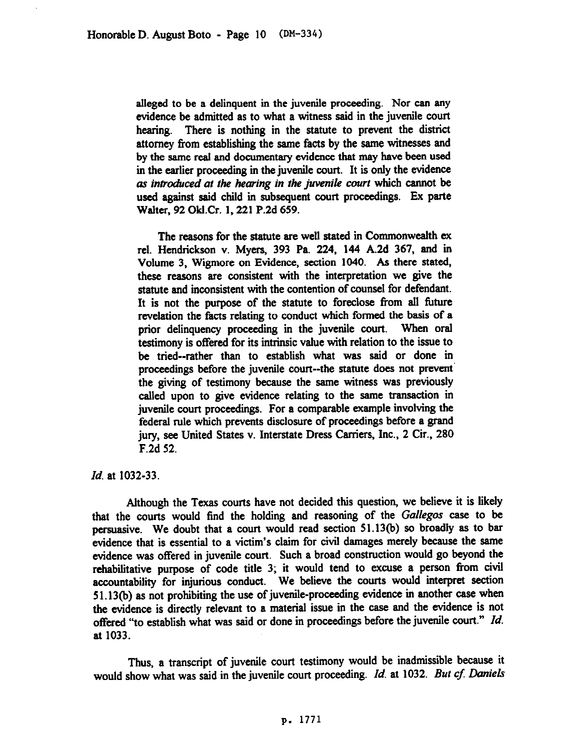alleged to be a delinquent in the juvenile proceeding. Nor can any evidence be admitted as to what a witness said in the juvenile court hearing. There is nothing in the statute to prevent the district attorney from establishing the same facts by the same witnesses and by the same real and documentary evidence that may have been used in the earlier proceeding in the juvenile court. It is only the evidence *as introduced at the hearing in the juvenile court* which cannot be used against said child in subsequent court proceedings. Ex parte Walter, 92 OklCr. 1,221 P.2d 659.

The reasons for the statute are well stated in Commonwealth ex rel. Hendrickson v. Myers, 393 Pa. 224, 144 A.2d 367, and in Volume 3, Wigmore on Evidence, section 1040. As there stated, these reasons are consistent with the interpretation we give the statute and inconsistent with the contention of counsel for defendant. It is not the purpose of the statute to foreclose from all future revelation the facts relating to conduct which formed the basis of a prior delinquency proceeding in the juvenile court. When oral testimony is offered for its intrinsic value with relation to the issue to be tried--rather than to establish what was said or done in proceedings before the juvenile court--the statute does not prevent' the giving of testimony because the same witness was previously called upon to give evidence relating to the same transaction in juvenile court proceedings. For a comparable example involving the federal rule which prevents disclosure of proceedings before a grand jury, see United States v. Interstate Dress Carriers, Inc., 2 Cir., 280 F.2d 52.

*Id.* at 1032-33.

Although the Texas courts have not decided this question, we believe it is likely that the courts would find the holding and reasoning of the Gallegos case to be persuasive. We doubt that a court would read section 51.13(b) so broadly as to bar evidence that is essential to a victim's claim for civil damages merely because the same evidence was offered in juvenile court. Such a broad construction would go beyond the rehabilitative purpose of code title 3; it would tend to excuse a person from civil accountability for injurious conduct. We believe the courts would interpret section 5 1.13(b) as not prohibiting the use of juvenile-proceeding evidence in another case when the evidence is directly relevant to a material issue in the case and the evidence is not offered "to establish what was said or done in proceedings before the juvenile court." *Id.* at 1033.

Thus, a transcript of juvenile court testimony would be inadmissible because it would show what was said in the juvenile court proceeding. *Id.* at 1032. *But cf. Daniels*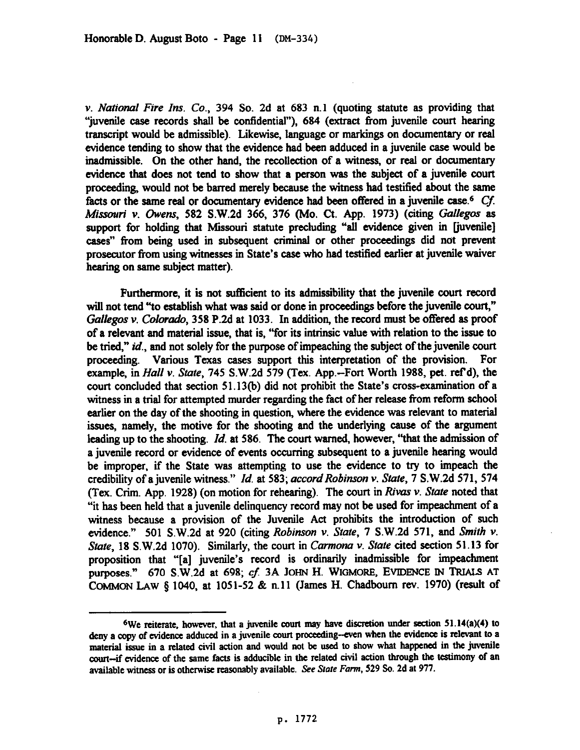v. National *Fire* Ins. Co., 394 So. 2d at 683 n.1 (quoting statute as providing that "juvenile case records shall be confidential"), 684 (extract from juvenile court hearing transcript would be admissible). Likewise, language or markings on documentary or real evidence tending to show that the evidence had been adduced in a juvenile case would be inadmissible. On the other hand, the recollection of a witness, or real or documentary evidence that does not tend to show that a person was the subject of a juvenile court proceeding, would not be barred merely because the witness had testified about the same facts or the same real or documentary evidence had been offered in a juvenile case.<sup>6</sup> Cf. *Missouri v. Owens, 582 S.W.2d 366, 376 (Mo. Ct. App. 1973) (citing Gallegos as* support for holding that Missouri statute precluding "all evidence given in [juvenile] cases" from being used in subsequent criminal or other proceedings did not prevent prosecutor from using witnesses in State's case who had testified earlier at juvenile waiver hearing on same subject matter).

Furthermore, it is not sufficient to its admissibility that the juvenile court record will not tend "to establish what was said or done in proceedings before the juvenile court," *Gallegos v. Colorado*, 358 P.2d at 1033. In addition, the record must be offered as proof of a relevant and material issue, that is, "for its intrinsic value with relation to the issue to be tried," *id.,* and not solely for the purpose of impeaching the subject of the juvenile court proceeding. Various Texas cases support this interpretation of the provision. For example, *in Hall v. State,* 145 S.W.2d 579 (Tex. App.-Fort Worth 1988, pet. ref d), the court concluded that section 51.13(b) did not prohibit the State's cross-examination of a witness in a trial for attempted murder regarding the fact of her release from reform school earlier on the day of the shooting in question, where the evidence was relevant to material issues, namely, the motive for the shooting and the underlying cause of the argument leading up to the shooting. *Id.* at 586. The court warned, however, "that the admission of a juvenile record or evidence of events occurring subsequent to a juvenile hearing would be improper, if the State was attempting to use the evidence to try to impeach the credibility of a juvenile witness." *Id.* at 583; *accord Robinson v. State*, 7 S.W.2d 571, 574 (Tex. Crim. App. 1928) (on motion for rehearing). The *court* in *Rivas v. State* noted that "it has been held that a juvenile delinquency record may not be used for impeachment of a witness because a provision of the Juvenile Act prohibits the introduction of such evidence." 501 S.W.2d at 920 (citing *Robinson v. State, 7 S.W.2d 571, and Smith v. State,* 18 S.W.Zd 1070). Similarly, the *court* **in** *Carmona v. State* cited section 51.13 for proposition that "[a] juvenile's record is ordinarily inadmissible for impeachment purposes." 670 S.W.2d at 698; cf. 3A JOHN H. WIGMORE, EVIDENCE IN TRIALS AT **COMMON** LAW 8 1040, at 1051-52 & n.11 (James H. Chadboum rev. 1970) (resuh of

we reiterate, however, that a juvenile court may have discretion under section 51.14(a)(4) to deny a copy of evidence adduced in a juvenile court proceeding-even when the evidence is relevant to a material issue in a related civil action and would not be used to show what happened in the juvenile court-if evidence of the same facts is adducible in the related civil action through the testimony of an **available witness or is otherwise reasonably available. See Slate Form, 529 So. 2d at 977.**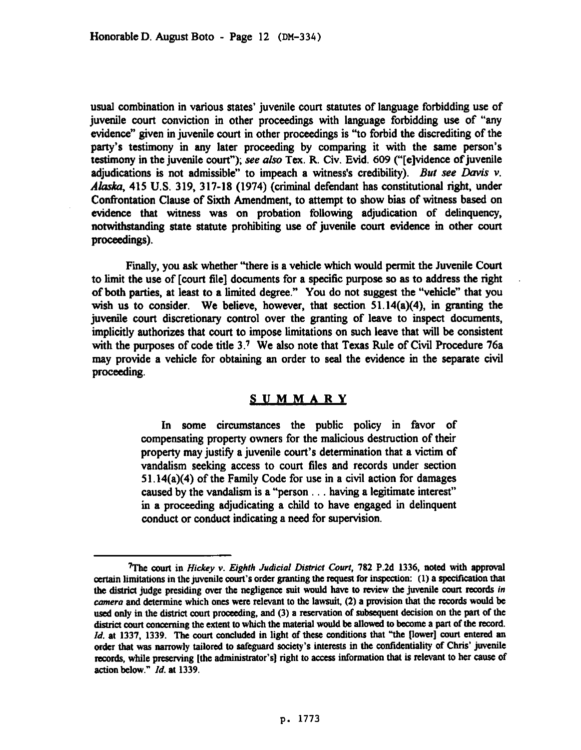usual combination in various states' juvenile court statutes of language forbidding use of juvenile court conviction in other proceedings with language forbidding use of "any evidence" given in juvenile court in other proceedings is "to forbid the discrediting of the party's testimony in any later proceeding by comparing it with the same person's testimony in the juvenile court"); see also Tex. R. Civ. Evid. 609 ("[e]vidence of juvenile adjudications is not admissible" to impeach a witness's credibility). But see Davis  $v$ . Alaska, 415 U.S. 319, 317-18 (1974) (criminal defendant has constitutional right, under Confrontation Clause of Sixth Amendment, to attempt to show bias of witness based on evidence that witness was on probation following adjudication of delinquency, notwithstanding state statute prohibiting use of juvenile court evidence in other court proceedmgs).

Finally, you ask whether "there is a vehicle which would permit the Juvenile Court to limit the use of [court file] documents for a specific purpose so as to address the right of both parties, at least to a limited degree." You do not suggest the "vehicle" that you wish us to consider. We believe, however, that section 51.14(a)(4), in granting the juvenile court discretionary control over the granting of leave to inspect documents, implicitly authorizes that court to impose limitations on such leave that will be consistent with the purposes of code title 3.7 We also note that Texas Rule of Civil Procedure 76a may provide a vehicle for obtaining an order to seal the evidence in the separate civil proceeding.

## SUMMARY

In some circumstances the public policy in favor of compensating property owners for the malicious destruction of their property may justify a juvenile court's determination that a victim of vandalism seeking access to court files and records under section 5 1,14(a)(4) of the Pamily Code for use in a civil action for damages caused by the vandalism is a "person  $\dots$  having a legitimate interest" in a proceeding adjudicating a child to have engaged in delinquent conduct or conduct indicating a need for supervision.

*<sup>7</sup>The court* **in** *Hi&y v. Eighfh Judicial Disfricf Courf, 782* **P.2d 1336, noted with approval**  certain limitations in the juvenile court's order granting the request for inspection: (1) a specification that **the district judge presiding over the negligence suit would have to review the juvenile court records in camera sod detennine which ones were relevant to the lawsuit, (2) a provision that the records would be**  used only in the district court proceeding, and (3) a reservation of subsequent decision on the part of the district court concerning the extent to which the material would be allowed to become a part of the record. *Id.* at 1337, 1339. The court concluded in light of these conditions that "the [lower] court entered an order that was narrowly tailored to safeguard society's interests in the confidentiality of Chris' juvenile records, while preserving [the administrator's] right to access information that is relevant to her cause of **action** *below." Id.* **at 1339.**